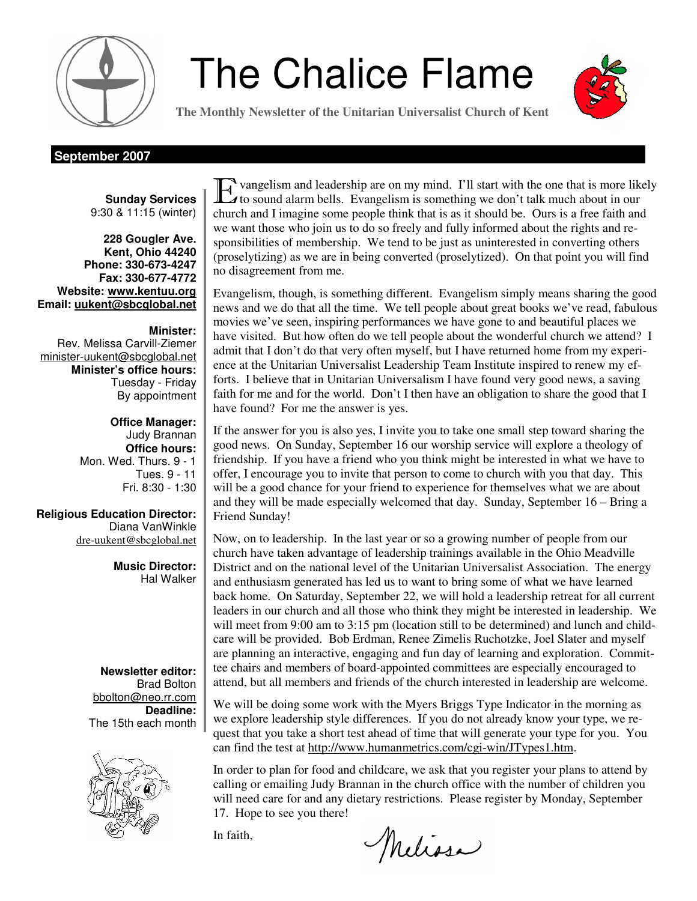

# **The Chalice Flame**



**The Monthly Newsletter of the Unitarian Universalist Church of Kent** 

#### **September 2007**

**Sunday Services**  9:30 & 11:15 (winter)

**228 Gougler Ave. Kent, Ohio 44240 Phone: 330-673-4247 Fax: 330-677-4772 Website: www.kentuu.org Email: uukent@sbcglobal.net**

**Minister:**  Rev. Melissa Carvill-Ziemer minister-uukent@sbcglobal.net **Minister's office hours:**  Tuesday - Friday By appointment

> **Office Manager:** Judy Brannan **Office hours:** Mon. Wed. Thurs. 9 - 1 Tues. 9 - 11 Fri. 8:30 - 1:30

**Religious Education Director:**  Diana VanWinkle dre-uukent@sbcglobal.net

> **Music Director:**  Hal Walker

**Newsletter editor:**  Brad Bolton bbolton@neo.rr.com **Deadline:**  The 15th each month



E vangelism and leadership are on my mind. I'll start with the one that is more likely to sound alarm bells. Evangelism is something we don't talk much about in our church and I imagine some people think that is as it should be. Ours is a free faith and we want those who join us to do so freely and fully informed about the rights and responsibilities of membership. We tend to be just as uninterested in converting others (proselytizing) as we are in being converted (proselytized). On that point you will find no disagreement from me.

Evangelism, though, is something different. Evangelism simply means sharing the good news and we do that all the time. We tell people about great books we've read, fabulous movies we've seen, inspiring performances we have gone to and beautiful places we have visited. But how often do we tell people about the wonderful church we attend? I admit that I don't do that very often myself, but I have returned home from my experience at the Unitarian Universalist Leadership Team Institute inspired to renew my efforts. I believe that in Unitarian Universalism I have found very good news, a saving faith for me and for the world. Don't I then have an obligation to share the good that I have found? For me the answer is yes.

If the answer for you is also yes, I invite you to take one small step toward sharing the good news. On Sunday, September 16 our worship service will explore a theology of friendship. If you have a friend who you think might be interested in what we have to offer, I encourage you to invite that person to come to church with you that day. This will be a good chance for your friend to experience for themselves what we are about and they will be made especially welcomed that day. Sunday, September 16 – Bring a Friend Sunday!

Now, on to leadership. In the last year or so a growing number of people from our church have taken advantage of leadership trainings available in the Ohio Meadville District and on the national level of the Unitarian Universalist Association. The energy and enthusiasm generated has led us to want to bring some of what we have learned back home. On Saturday, September 22, we will hold a leadership retreat for all current leaders in our church and all those who think they might be interested in leadership. We will meet from 9:00 am to 3:15 pm (location still to be determined) and lunch and childcare will be provided. Bob Erdman, Renee Zimelis Ruchotzke, Joel Slater and myself are planning an interactive, engaging and fun day of learning and exploration. Committee chairs and members of board-appointed committees are especially encouraged to attend, but all members and friends of the church interested in leadership are welcome.

We will be doing some work with the Myers Briggs Type Indicator in the morning as we explore leadership style differences. If you do not already know your type, we request that you take a short test ahead of time that will generate your type for you. You can find the test at http://www.humanmetrics.com/cgi-win/JTypes1.htm.

In order to plan for food and childcare, we ask that you register your plans to attend by calling or emailing Judy Brannan in the church office with the number of children you will need care for and any dietary restrictions. Please register by Monday, September 17. Hope to see you there!

In faith,

Melissa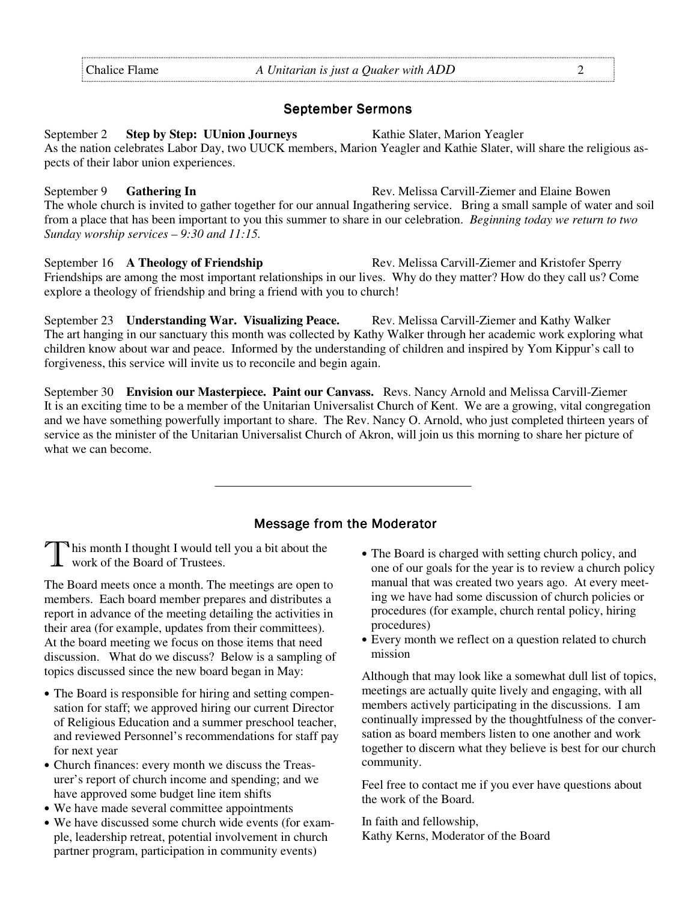#### September Sermons

September 2 **Step by Step: UUnion Journeys** Kathie Slater, Marion Yeagler As the nation celebrates Labor Day, two UUCK members, Marion Yeagler and Kathie Slater, will share the religious aspects of their labor union experiences.

September 9 **Gathering In Rev. Melissa Carvill-Ziemer and Elaine Bowen** Rev. Melissa Carvill-Ziemer and Elaine Bowen The whole church is invited to gather together for our annual Ingathering service. Bring a small sample of water and soil from a place that has been important to you this summer to share in our celebration. *Beginning today we return to two Sunday worship services – 9:30 and 11:15.* 

September 16 **A Theology of Friendship** Rev. Melissa Carvill-Ziemer and Kristofer Sperry Friendships are among the most important relationships in our lives. Why do they matter? How do they call us? Come explore a theology of friendship and bring a friend with you to church!

September 23 **Understanding War. Visualizing Peace.** Rev. Melissa Carvill-Ziemer and Kathy Walker The art hanging in our sanctuary this month was collected by Kathy Walker through her academic work exploring what children know about war and peace. Informed by the understanding of children and inspired by Yom Kippur's call to forgiveness, this service will invite us to reconcile and begin again.

September 30 **Envision our Masterpiece. Paint our Canvass.** Revs. Nancy Arnold and Melissa Carvill-Ziemer It is an exciting time to be a member of the Unitarian Universalist Church of Kent. We are a growing, vital congregation and we have something powerfully important to share. The Rev. Nancy O. Arnold, who just completed thirteen years of service as the minister of the Unitarian Universalist Church of Akron, will join us this morning to share her picture of what we can become.

#### Message from the Moderator

T his month I thought I would tell you a bit about the work of the Board of Trustees.

The Board meets once a month. The meetings are open to members. Each board member prepares and distributes a report in advance of the meeting detailing the activities in their area (for example, updates from their committees). At the board meeting we focus on those items that need discussion. What do we discuss? Below is a sampling of topics discussed since the new board began in May:

- The Board is responsible for hiring and setting compensation for staff; we approved hiring our current Director of Religious Education and a summer preschool teacher, and reviewed Personnel's recommendations for staff pay for next year
- Church finances: every month we discuss the Treasurer's report of church income and spending; and we have approved some budget line item shifts
- We have made several committee appointments
- We have discussed some church wide events (for example, leadership retreat, potential involvement in church partner program, participation in community events)
- The Board is charged with setting church policy, and one of our goals for the year is to review a church policy manual that was created two years ago. At every meeting we have had some discussion of church policies or procedures (for example, church rental policy, hiring procedures)
- Every month we reflect on a question related to church mission

Although that may look like a somewhat dull list of topics, meetings are actually quite lively and engaging, with all members actively participating in the discussions. I am continually impressed by the thoughtfulness of the conversation as board members listen to one another and work together to discern what they believe is best for our church community.

Feel free to contact me if you ever have questions about the work of the Board.

In faith and fellowship, Kathy Kerns, Moderator of the Board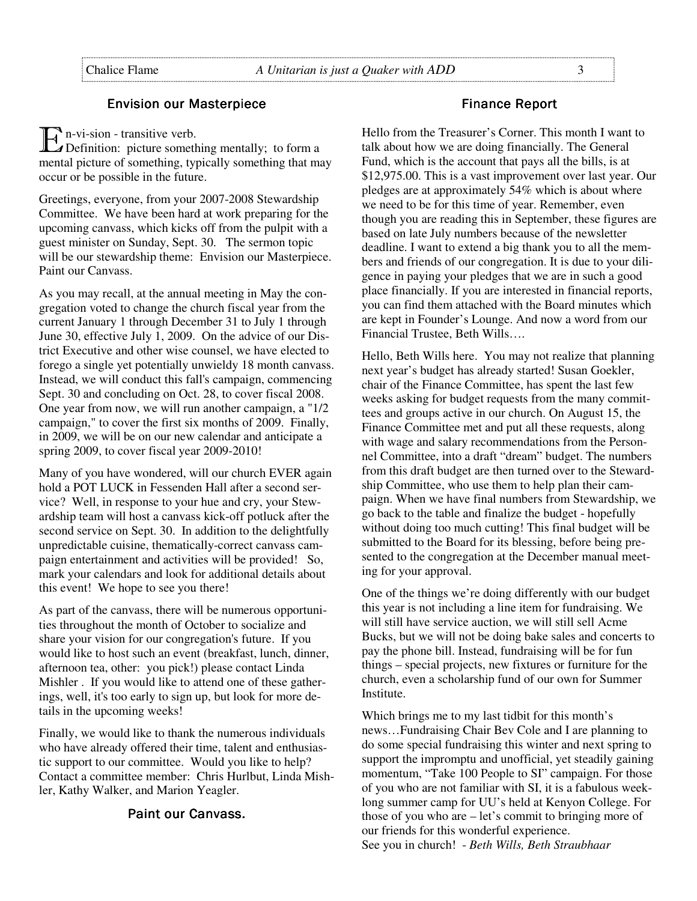#### **Envision our Masterpiece**

 $\mathbf{E}$  n-vi-sion - transitive verb.<br>Definition: picture someth

 $\Delta$ Definition: picture something mentally; to form a mental picture of something, typically something that may occur or be possible in the future.

Greetings, everyone, from your 2007-2008 Stewardship Committee. We have been hard at work preparing for the upcoming canvass, which kicks off from the pulpit with a guest minister on Sunday, Sept. 30. The sermon topic will be our stewardship theme: Envision our Masterpiece. Paint our Canvass.

As you may recall, at the annual meeting in May the congregation voted to change the church fiscal year from the current January 1 through December 31 to July 1 through June 30, effective July 1, 2009. On the advice of our District Executive and other wise counsel, we have elected to forego a single yet potentially unwieldy 18 month canvass. Instead, we will conduct this fall's campaign, commencing Sept. 30 and concluding on Oct. 28, to cover fiscal 2008. One year from now, we will run another campaign, a "1/2 campaign," to cover the first six months of 2009. Finally, in 2009, we will be on our new calendar and anticipate a spring 2009, to cover fiscal year 2009-2010!

Many of you have wondered, will our church EVER again hold a POT LUCK in Fessenden Hall after a second service? Well, in response to your hue and cry, your Stewardship team will host a canvass kick-off potluck after the second service on Sept. 30. In addition to the delightfully unpredictable cuisine, thematically-correct canvass campaign entertainment and activities will be provided! So, mark your calendars and look for additional details about this event! We hope to see you there!

As part of the canvass, there will be numerous opportunities throughout the month of October to socialize and share your vision for our congregation's future. If you would like to host such an event (breakfast, lunch, dinner, afternoon tea, other: you pick!) please contact Linda Mishler . If you would like to attend one of these gatherings, well, it's too early to sign up, but look for more details in the upcoming weeks!

Finally, we would like to thank the numerous individuals who have already offered their time, talent and enthusiastic support to our committee. Would you like to help? Contact a committee member: Chris Hurlbut, Linda Mishler, Kathy Walker, and Marion Yeagler.

#### Paint our Canvass.

#### Finance Report

Hello from the Treasurer's Corner. This month I want to talk about how we are doing financially. The General Fund, which is the account that pays all the bills, is at \$12,975.00. This is a vast improvement over last year. Our pledges are at approximately 54% which is about where we need to be for this time of year. Remember, even though you are reading this in September, these figures are based on late July numbers because of the newsletter deadline. I want to extend a big thank you to all the members and friends of our congregation. It is due to your diligence in paying your pledges that we are in such a good place financially. If you are interested in financial reports, you can find them attached with the Board minutes which are kept in Founder's Lounge. And now a word from our Financial Trustee, Beth Wills….

Hello, Beth Wills here. You may not realize that planning next year's budget has already started! Susan Goekler, chair of the Finance Committee, has spent the last few weeks asking for budget requests from the many committees and groups active in our church. On August 15, the Finance Committee met and put all these requests, along with wage and salary recommendations from the Personnel Committee, into a draft "dream" budget. The numbers from this draft budget are then turned over to the Stewardship Committee, who use them to help plan their campaign. When we have final numbers from Stewardship, we go back to the table and finalize the budget - hopefully without doing too much cutting! This final budget will be submitted to the Board for its blessing, before being presented to the congregation at the December manual meeting for your approval.

One of the things we're doing differently with our budget this year is not including a line item for fundraising. We will still have service auction, we will still sell Acme Bucks, but we will not be doing bake sales and concerts to pay the phone bill. Instead, fundraising will be for fun things – special projects, new fixtures or furniture for the church, even a scholarship fund of our own for Summer Institute.

Which brings me to my last tidbit for this month's news…Fundraising Chair Bev Cole and I are planning to do some special fundraising this winter and next spring to support the impromptu and unofficial, yet steadily gaining momentum, "Take 100 People to SI" campaign. For those of you who are not familiar with SI, it is a fabulous weeklong summer camp for UU's held at Kenyon College. For those of you who are – let's commit to bringing more of our friends for this wonderful experience. See you in church! - *Beth Wills, Beth Straubhaar*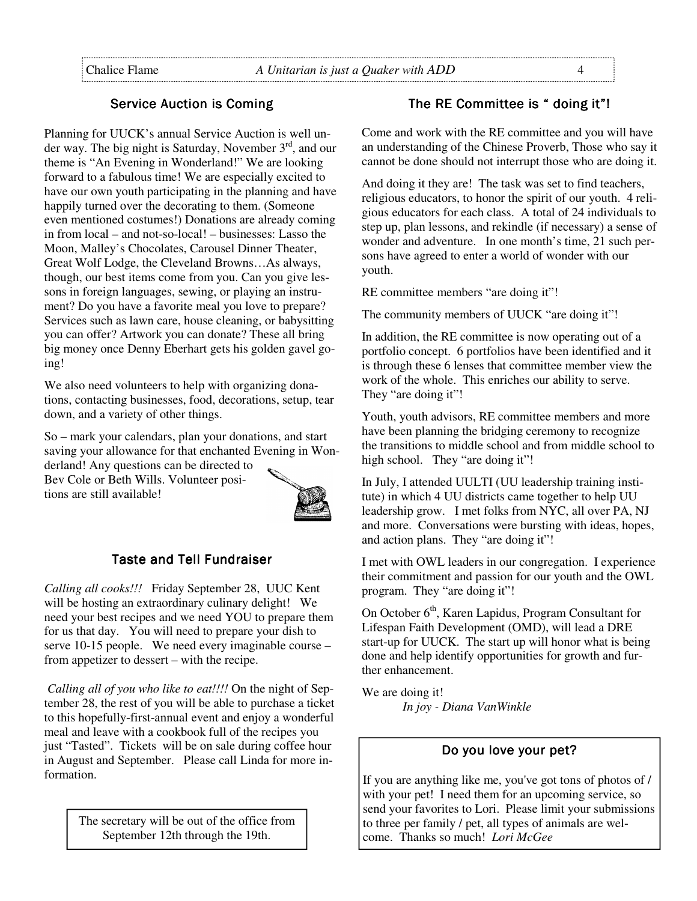# Service Auction is Coming

Planning for UUCK's annual Service Auction is well under way. The big night is Saturday, November  $3<sup>rd</sup>$ , and our theme is "An Evening in Wonderland!" We are looking forward to a fabulous time! We are especially excited to have our own youth participating in the planning and have happily turned over the decorating to them. (Someone even mentioned costumes!) Donations are already coming in from local – and not-so-local! – businesses: Lasso the Moon, Malley's Chocolates, Carousel Dinner Theater, Great Wolf Lodge, the Cleveland Browns…As always, though, our best items come from you. Can you give lessons in foreign languages, sewing, or playing an instrument? Do you have a favorite meal you love to prepare? Services such as lawn care, house cleaning, or babysitting you can offer? Artwork you can donate? These all bring big money once Denny Eberhart gets his golden gavel going!

We also need volunteers to help with organizing donations, contacting businesses, food, decorations, setup, tear down, and a variety of other things.

So – mark your calendars, plan your donations, and start saving your allowance for that enchanted Evening in Wonderland! Any questions can be directed to

Bev Cole or Beth Wills. Volunteer positions are still available!



# **Taste and Tell Fundraiser**

*Calling all cooks!!!* Friday September 28, UUC Kent will be hosting an extraordinary culinary delight! We need your best recipes and we need YOU to prepare them for us that day. You will need to prepare your dish to serve 10-15 people. We need every imaginable course – from appetizer to dessert – with the recipe.

*Calling all of you who like to eat!!!!* On the night of September 28, the rest of you will be able to purchase a ticket to this hopefully-first-annual event and enjoy a wonderful meal and leave with a cookbook full of the recipes you just "Tasted". Tickets will be on sale during coffee hour in August and September. Please call Linda for more information.

> The secretary will be out of the office from September 12th through the 19th.

### The RE Committee is " doing it"!

Come and work with the RE committee and you will have an understanding of the Chinese Proverb, Those who say it cannot be done should not interrupt those who are doing it.

And doing it they are! The task was set to find teachers, religious educators, to honor the spirit of our youth. 4 religious educators for each class. A total of 24 individuals to step up, plan lessons, and rekindle (if necessary) a sense of wonder and adventure. In one month's time, 21 such persons have agreed to enter a world of wonder with our youth.

RE committee members "are doing it"!

The community members of UUCK "are doing it"!

In addition, the RE committee is now operating out of a portfolio concept. 6 portfolios have been identified and it is through these 6 lenses that committee member view the work of the whole. This enriches our ability to serve. They "are doing it"!

Youth, youth advisors, RE committee members and more have been planning the bridging ceremony to recognize the transitions to middle school and from middle school to high school. They "are doing it"!

In July, I attended UULTI (UU leadership training institute) in which 4 UU districts came together to help UU leadership grow. I met folks from NYC, all over PA, NJ and more. Conversations were bursting with ideas, hopes, and action plans. They "are doing it"!

I met with OWL leaders in our congregation. I experience their commitment and passion for our youth and the OWL program. They "are doing it"!

On October 6<sup>th</sup>, Karen Lapidus, Program Consultant for Lifespan Faith Development (OMD), will lead a DRE start-up for UUCK. The start up will honor what is being done and help identify opportunities for growth and further enhancement.

We are doing it! *In joy - Diana VanWinkle*

# Do you love your pet?

If you are anything like me, you've got tons of photos of / with your pet! I need them for an upcoming service, so send your favorites to Lori. Please limit your submissions to three per family / pet, all types of animals are welcome. Thanks so much! *Lori McGee*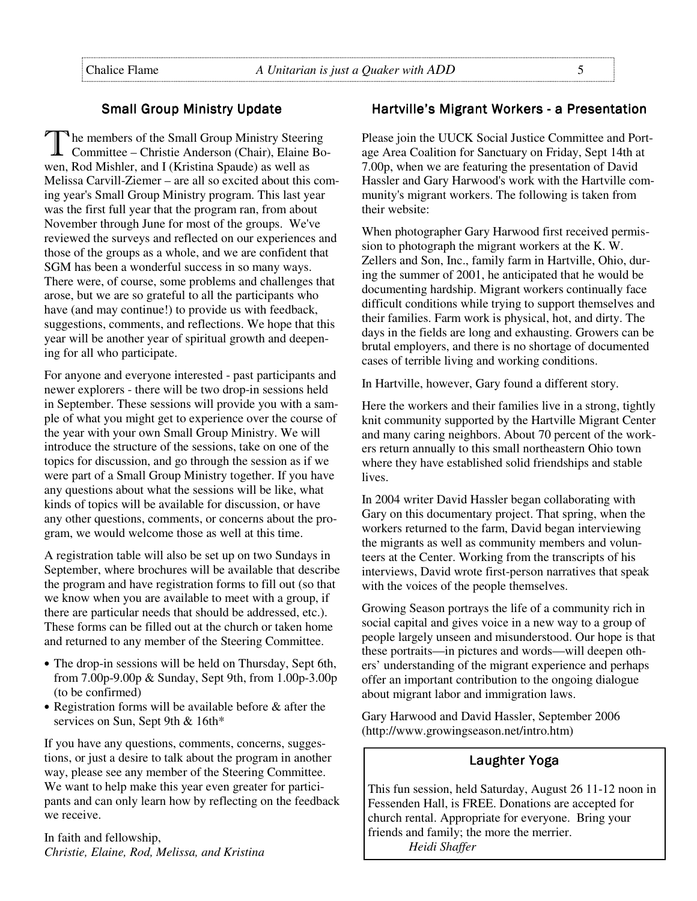## **Small Group Ministry Update**

The members of the Small Group Ministry Steering<br>
Committee – Christie Anderson (Chair), Elaine Bowen, Rod Mishler, and I (Kristina Spaude) as well as Melissa Carvill-Ziemer – are all so excited about this coming year's Small Group Ministry program. This last year was the first full year that the program ran, from about November through June for most of the groups. We've reviewed the surveys and reflected on our experiences and those of the groups as a whole, and we are confident that SGM has been a wonderful success in so many ways. There were, of course, some problems and challenges that arose, but we are so grateful to all the participants who have (and may continue!) to provide us with feedback, suggestions, comments, and reflections. We hope that this year will be another year of spiritual growth and deepening for all who participate.

For anyone and everyone interested - past participants and newer explorers - there will be two drop-in sessions held in September. These sessions will provide you with a sample of what you might get to experience over the course of the year with your own Small Group Ministry. We will introduce the structure of the sessions, take on one of the topics for discussion, and go through the session as if we were part of a Small Group Ministry together. If you have any questions about what the sessions will be like, what kinds of topics will be available for discussion, or have any other questions, comments, or concerns about the program, we would welcome those as well at this time.

A registration table will also be set up on two Sundays in September, where brochures will be available that describe the program and have registration forms to fill out (so that we know when you are available to meet with a group, if there are particular needs that should be addressed, etc.). These forms can be filled out at the church or taken home and returned to any member of the Steering Committee.

- The drop-in sessions will be held on Thursday, Sept 6th, from 7.00p-9.00p & Sunday, Sept 9th, from 1.00p-3.00p (to be confirmed)
- Registration forms will be available before & after the services on Sun, Sept 9th & 16th\*

If you have any questions, comments, concerns, suggestions, or just a desire to talk about the program in another way, please see any member of the Steering Committee. We want to help make this year even greater for participants and can only learn how by reflecting on the feedback we receive.

In faith and fellowship, *Christie, Elaine, Rod, Melissa, and Kristina* 

#### Hartville's Migrant Workers - a Presentation

Please join the UUCK Social Justice Committee and Portage Area Coalition for Sanctuary on Friday, Sept 14th at 7.00p, when we are featuring the presentation of David Hassler and Gary Harwood's work with the Hartville community's migrant workers. The following is taken from their website:

When photographer Gary Harwood first received permission to photograph the migrant workers at the K. W. Zellers and Son, Inc., family farm in Hartville, Ohio, during the summer of 2001, he anticipated that he would be documenting hardship. Migrant workers continually face difficult conditions while trying to support themselves and their families. Farm work is physical, hot, and dirty. The days in the fields are long and exhausting. Growers can be brutal employers, and there is no shortage of documented cases of terrible living and working conditions.

In Hartville, however, Gary found a different story.

Here the workers and their families live in a strong, tightly knit community supported by the Hartville Migrant Center and many caring neighbors. About 70 percent of the workers return annually to this small northeastern Ohio town where they have established solid friendships and stable lives.

In 2004 writer David Hassler began collaborating with Gary on this documentary project. That spring, when the workers returned to the farm, David began interviewing the migrants as well as community members and volunteers at the Center. Working from the transcripts of his interviews, David wrote first-person narratives that speak with the voices of the people themselves.

Growing Season portrays the life of a community rich in social capital and gives voice in a new way to a group of people largely unseen and misunderstood. Our hope is that these portraits—in pictures and words—will deepen others' understanding of the migrant experience and perhaps offer an important contribution to the ongoing dialogue about migrant labor and immigration laws.

Gary Harwood and David Hassler, September 2006 (http://www.growingseason.net/intro.htm)

## Laughter Yoga

This fun session, held Saturday, August 26 11-12 noon in Fessenden Hall, is FREE. Donations are accepted for church rental. Appropriate for everyone. Bring your friends and family; the more the merrier. *Heidi Shaffer*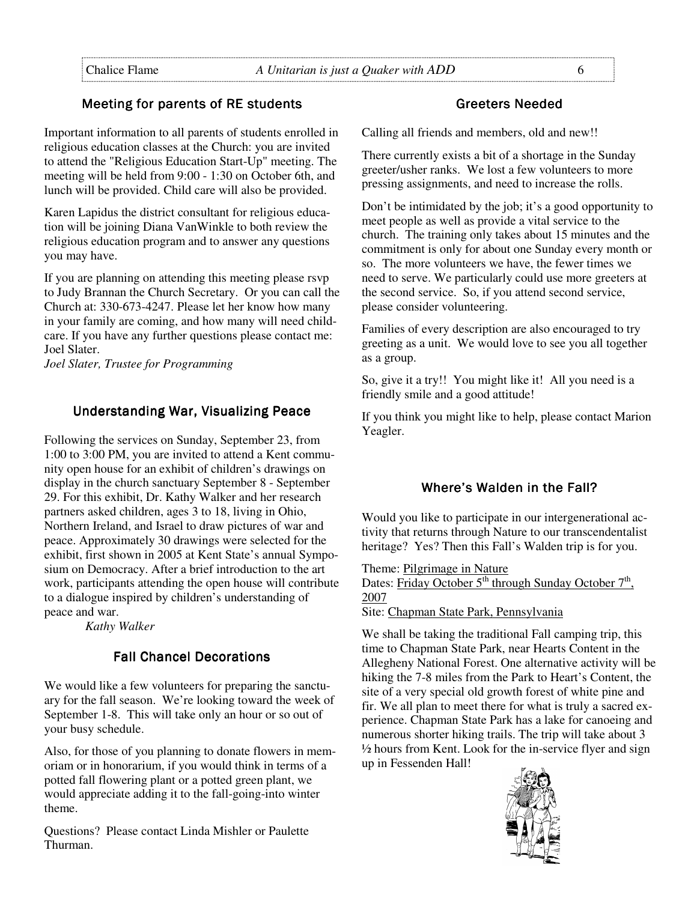# Meeting for parents of RE students

Important information to all parents of students enrolled in religious education classes at the Church: you are invited to attend the "Religious Education Start-Up" meeting. The meeting will be held from 9:00 - 1:30 on October 6th, and lunch will be provided. Child care will also be provided.

Karen Lapidus the district consultant for religious education will be joining Diana VanWinkle to both review the religious education program and to answer any questions you may have.

If you are planning on attending this meeting please rsvp to Judy Brannan the Church Secretary. Or you can call the Church at: 330-673-4247. Please let her know how many in your family are coming, and how many will need childcare. If you have any further questions please contact me: Joel Slater.

*Joel Slater, Trustee for Programming* 

# Understanding War, Visualizing Peace

Following the services on Sunday, September 23, from 1:00 to 3:00 PM, you are invited to attend a Kent community open house for an exhibit of children's drawings on display in the church sanctuary September 8 - September 29. For this exhibit, Dr. Kathy Walker and her research partners asked children, ages 3 to 18, living in Ohio, Northern Ireland, and Israel to draw pictures of war and peace. Approximately 30 drawings were selected for the exhibit, first shown in 2005 at Kent State's annual Symposium on Democracy. After a brief introduction to the art work, participants attending the open house will contribute to a dialogue inspired by children's understanding of peace and war.

*Kathy Walker*

# Fall Chancel Decorations

We would like a few volunteers for preparing the sanctuary for the fall season. We're looking toward the week of September 1-8. This will take only an hour or so out of your busy schedule.

Also, for those of you planning to donate flowers in memoriam or in honorarium, if you would think in terms of a potted fall flowering plant or a potted green plant, we would appreciate adding it to the fall-going-into winter theme.

Questions? Please contact Linda Mishler or Paulette Thurman.

## Greeters Needed

Calling all friends and members, old and new!!

There currently exists a bit of a shortage in the Sunday greeter/usher ranks. We lost a few volunteers to more pressing assignments, and need to increase the rolls.

Don't be intimidated by the job; it's a good opportunity to meet people as well as provide a vital service to the church. The training only takes about 15 minutes and the commitment is only for about one Sunday every month or so. The more volunteers we have, the fewer times we need to serve. We particularly could use more greeters at the second service. So, if you attend second service, please consider volunteering.

Families of every description are also encouraged to try greeting as a unit. We would love to see you all together as a group.

So, give it a try!! You might like it! All you need is a friendly smile and a good attitude!

If you think you might like to help, please contact Marion Yeagler.

# Where's Walden in the Fall?

Would you like to participate in our intergenerational activity that returns through Nature to our transcendentalist heritage? Yes? Then this Fall's Walden trip is for you.

Theme: Pilgrimage in Nature Dates: Friday October 5<sup>th</sup> through Sunday October 7<sup>th</sup>, 2007 Site: Chapman State Park, Pennsylvania

We shall be taking the traditional Fall camping trip, this time to Chapman State Park, near Hearts Content in the Allegheny National Forest. One alternative activity will be hiking the 7-8 miles from the Park to Heart's Content, the site of a very special old growth forest of white pine and fir. We all plan to meet there for what is truly a sacred experience. Chapman State Park has a lake for canoeing and numerous shorter hiking trails. The trip will take about 3 ½ hours from Kent. Look for the in-service flyer and sign up in Fessenden Hall!

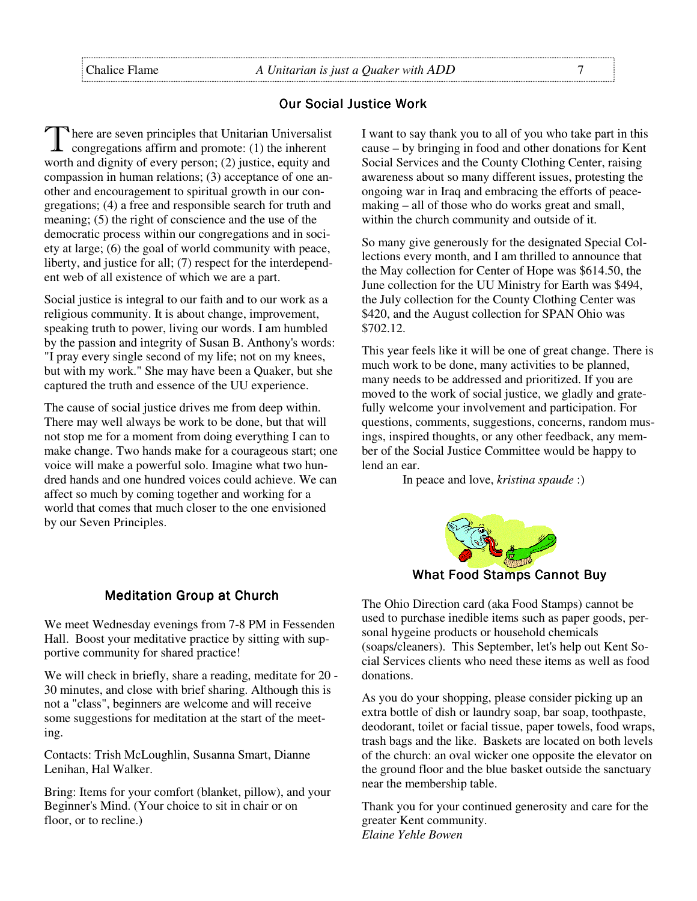#### **Our Social Justice Work**

There are seven principles that Unitarian Universalist congregations affirm and promote: (1) the inherent worth and dignity of every person; (2) justice, equity and compassion in human relations; (3) acceptance of one another and encouragement to spiritual growth in our congregations; (4) a free and responsible search for truth and meaning; (5) the right of conscience and the use of the democratic process within our congregations and in society at large; (6) the goal of world community with peace, liberty, and justice for all; (7) respect for the interdependent web of all existence of which we are a part.

Social justice is integral to our faith and to our work as a religious community. It is about change, improvement, speaking truth to power, living our words. I am humbled by the passion and integrity of Susan B. Anthony's words: "I pray every single second of my life; not on my knees, but with my work." She may have been a Quaker, but she captured the truth and essence of the UU experience.

The cause of social justice drives me from deep within. There may well always be work to be done, but that will not stop me for a moment from doing everything I can to make change. Two hands make for a courageous start; one voice will make a powerful solo. Imagine what two hundred hands and one hundred voices could achieve. We can affect so much by coming together and working for a world that comes that much closer to the one envisioned by our Seven Principles.

#### **Meditation Group at Church**

We meet Wednesday evenings from 7-8 PM in Fessenden Hall. Boost your meditative practice by sitting with supportive community for shared practice!

We will check in briefly, share a reading, meditate for 20 - 30 minutes, and close with brief sharing. Although this is not a "class", beginners are welcome and will receive some suggestions for meditation at the start of the meeting.

Contacts: Trish McLoughlin, Susanna Smart, Dianne Lenihan, Hal Walker.

Bring: Items for your comfort (blanket, pillow), and your Beginner's Mind. (Your choice to sit in chair or on floor, or to recline.)

I want to say thank you to all of you who take part in this cause – by bringing in food and other donations for Kent Social Services and the County Clothing Center, raising awareness about so many different issues, protesting the ongoing war in Iraq and embracing the efforts of peacemaking – all of those who do works great and small, within the church community and outside of it.

So many give generously for the designated Special Collections every month, and I am thrilled to announce that the May collection for Center of Hope was \$614.50, the June collection for the UU Ministry for Earth was \$494, the July collection for the County Clothing Center was \$420, and the August collection for SPAN Ohio was \$702.12.

This year feels like it will be one of great change. There is much work to be done, many activities to be planned, many needs to be addressed and prioritized. If you are moved to the work of social justice, we gladly and gratefully welcome your involvement and participation. For questions, comments, suggestions, concerns, random musings, inspired thoughts, or any other feedback, any member of the Social Justice Committee would be happy to lend an ear.

In peace and love, *kristina spaude* :)



What Food Stamps Cannot Buy

The Ohio Direction card (aka Food Stamps) cannot be used to purchase inedible items such as paper goods, personal hygeine products or household chemicals (soaps/cleaners). This September, let's help out Kent Social Services clients who need these items as well as food donations.

As you do your shopping, please consider picking up an extra bottle of dish or laundry soap, bar soap, toothpaste, deodorant, toilet or facial tissue, paper towels, food wraps, trash bags and the like. Baskets are located on both levels of the church: an oval wicker one opposite the elevator on the ground floor and the blue basket outside the sanctuary near the membership table.

Thank you for your continued generosity and care for the greater Kent community. *Elaine Yehle Bowen*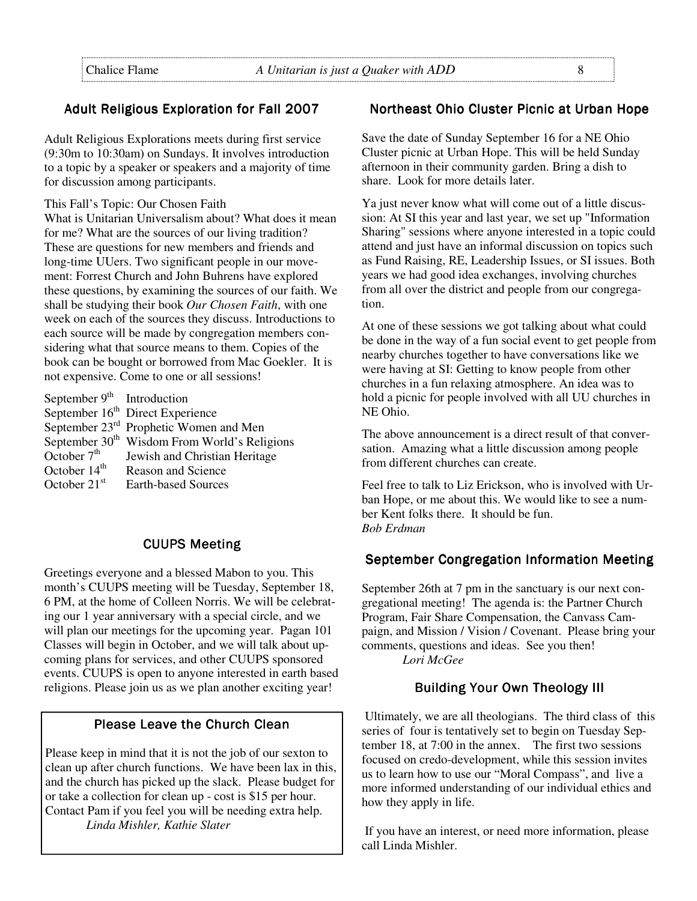# Adult Religious Exploration for Fall 2007

Adult Religious Explorations meets during first service (9:30m to 10:30am) on Sundays. It involves introduction to a topic by a speaker or speakers and a majority of time for discussion among participants.

#### This Fall's Topic: Our Chosen Faith

What is Unitarian Universalism about? What does it mean for me? What are the sources of our living tradition? These are questions for new members and friends and long-time UUers. Two significant people in our movement: Forrest Church and John Buhrens have explored these questions, by examining the sources of our faith. We shall be studying their book *Our Chosen Faith*, with one week on each of the sources they discuss. Introductions to each source will be made by congregation members considering what that source means to them. Copies of the book can be bought or borrowed from Mac Goekler. It is not expensive. Come to one or all sessions!

| September $9th$ Introduction |                                                          |
|------------------------------|----------------------------------------------------------|
|                              | September 16 <sup>th</sup> Direct Experience             |
|                              | September 23 <sup>rd</sup> Prophetic Women and Men       |
|                              | September 30 <sup>th</sup> Wisdom From World's Religions |
| October $7th$                | Jewish and Christian Heritage                            |
| October $14th$               | <b>Reason and Science</b>                                |
| October $21st$               | <b>Earth-based Sources</b>                               |

# **CUUPS Meeting**

Greetings everyone and a blessed Mabon to you. This month's CUUPS meeting will be Tuesday, September 18, 6 PM, at the home of Colleen Norris. We will be celebrating our 1 year anniversary with a special circle, and we will plan our meetings for the upcoming year. Pagan 101 Classes will begin in October, and we will talk about upcoming plans for services, and other CUUPS sponsored events. CUUPS is open to anyone interested in earth based religions. Please join us as we plan another exciting year!

#### Please Leave the Church Clean

Please keep in mind that it is not the job of our sexton to clean up after church functions. We have been lax in this, and the church has picked up the slack. Please budget for or take a collection for clean up - cost is \$15 per hour. Contact Pam if you feel you will be needing extra help.  *Linda Mishler, Kathie Slater* 

#### Northeast Ohio Cluster Picnic at Urban Hope

Save the date of Sunday September 16 for a NE Ohio Cluster picnic at Urban Hope. This will be held Sunday afternoon in their community garden. Bring a dish to share. Look for more details later.

Ya just never know what will come out of a little discussion: At SI this year and last year, we set up "Information Sharing" sessions where anyone interested in a topic could attend and just have an informal discussion on topics such as Fund Raising, RE, Leadership Issues, or SI issues. Both years we had good idea exchanges, involving churches from all over the district and people from our congregation.

At one of these sessions we got talking about what could be done in the way of a fun social event to get people from nearby churches together to have conversations like we were having at SI: Getting to know people from other churches in a fun relaxing atmosphere. An idea was to hold a picnic for people involved with all UU churches in NE Ohio.

The above announcement is a direct result of that conversation. Amazing what a little discussion among people from different churches can create.

Feel free to talk to Liz Erickson, who is involved with Urban Hope, or me about this. We would like to see a number Kent folks there. It should be fun. *Bob Erdman* 

#### September Congregation Information Meeting

September 26th at 7 pm in the sanctuary is our next congregational meeting! The agenda is: the Partner Church Program, Fair Share Compensation, the Canvass Campaign, and Mission / Vision / Covenant. Please bring your comments, questions and ideas. See you then!

*Lori McGee*

#### **Building Your Own Theology III**

 Ultimately, we are all theologians. The third class of this series of four is tentatively set to begin on Tuesday September 18, at 7:00 in the annex. The first two sessions focused on credo-development, while this session invites us to learn how to use our "Moral Compass", and live a more informed understanding of our individual ethics and how they apply in life.

 If you have an interest, or need more information, please call Linda Mishler.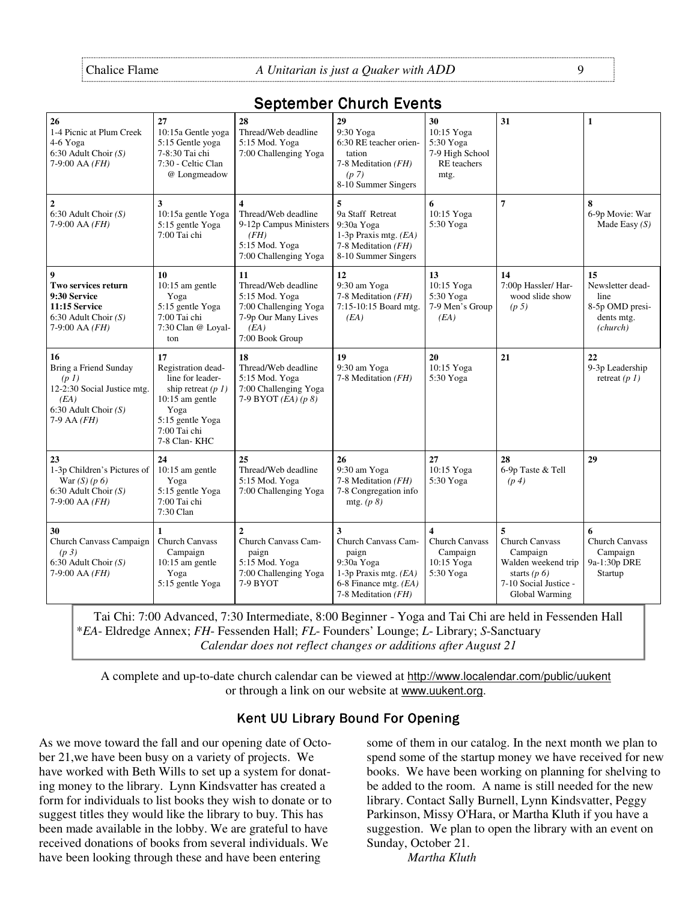# September Church Events

| 26<br>1-4 Picnic at Plum Creek<br>4-6 Yoga<br>6:30 Adult Choir $(S)$<br>$7-9:00$ AA $(FH)$                                           | 27<br>10:15a Gentle yoga<br>5:15 Gentle yoga<br>7-8:30 Tai chi<br>7:30 - Celtic Clan<br>@ Longmeadow                                                  | 28<br>Thread/Web deadline<br>5:15 Mod. Yoga<br>7:00 Challenging Yoga                                                        | 29<br>9:30 Yoga<br>6:30 RE teacher orien-<br>tation<br>7-8 Meditation $(FH)$<br>(p <sub>7</sub> )<br>8-10 Summer Singers   | 30<br>10:15 Yoga<br>5:30 Yoga<br>7-9 High School<br><b>RE</b> teachers<br>mtg.          | 31                                                                                                                         | 1                                                                          |
|--------------------------------------------------------------------------------------------------------------------------------------|-------------------------------------------------------------------------------------------------------------------------------------------------------|-----------------------------------------------------------------------------------------------------------------------------|----------------------------------------------------------------------------------------------------------------------------|-----------------------------------------------------------------------------------------|----------------------------------------------------------------------------------------------------------------------------|----------------------------------------------------------------------------|
| $\overline{2}$<br>6:30 Adult Choir $(S)$<br>$7-9:00$ AA $(FH)$                                                                       | 3<br>10:15a gentle Yoga<br>5:15 gentle Yoga<br>7:00 Tai chi                                                                                           | $\overline{\mathbf{4}}$<br>Thread/Web deadline<br>9-12p Campus Ministers<br>(FH)<br>5:15 Mod. Yoga<br>7:00 Challenging Yoga | 5<br>9a Staff Retreat<br>9:30a Yoga<br>1-3p Praxis mtg. $(EA)$<br>7-8 Meditation (FH)<br>8-10 Summer Singers               | 6<br>10:15 Yoga<br>5:30 Yoga                                                            | $\overline{7}$                                                                                                             | 8<br>6-9p Movie: War<br>Made Easy $(S)$                                    |
| 9<br>Two services return<br>9:30 Service<br>11:15 Service<br>6:30 Adult Choir $(S)$<br>7-9:00 AA $(FH)$                              | 10<br>10:15 am gentle<br>Yoga<br>5:15 gentle Yoga<br>7:00 Tai chi<br>7:30 Clan @ Loyal-<br>ton                                                        | 11<br>Thread/Web deadline<br>5:15 Mod. Yoga<br>7:00 Challenging Yoga<br>7-9p Our Many Lives<br>(EA)<br>7:00 Book Group      | 12<br>9:30 am Yoga<br>7-8 Meditation (FH)<br>7:15-10:15 Board mtg.<br>(EA)                                                 | 13<br>10:15 Yoga<br>5:30 Yoga<br>7-9 Men's Group<br>(EA)                                | 14<br>7:00p Hassler/ Har-<br>wood slide show<br>(p <sub>5</sub> )                                                          | 15<br>Newsletter dead-<br>line<br>8-5p OMD presi-<br>dents mtg.<br>(chunk) |
| 16<br>Bring a Friend Sunday<br>(p <sub>1</sub> )<br>12-2:30 Social Justice mtg.<br>(EA)<br>6:30 Adult Choir $(S)$<br>$7-9$ AA $(FH)$ | 17<br>Registration dead-<br>line for leader-<br>ship retreat $(p 1)$<br>$10:15$ am gentle<br>Yoga<br>5:15 gentle Yoga<br>7:00 Tai chi<br>7-8 Clan-KHC | 18<br>Thread/Web deadline<br>5:15 Mod. Yoga<br>7:00 Challenging Yoga<br>7-9 BYOT $(EA)$ $(p 8)$                             | 19<br>9:30 am Yoga<br>7-8 Meditation (FH)                                                                                  | 20<br>10:15 Yoga<br>5:30 Yoga                                                           | 21                                                                                                                         | 22<br>9-3p Leadership<br>retreat $(p 1)$                                   |
| 23<br>1-3p Children's Pictures of<br>War $(S)$ (p 6)<br>6:30 Adult Choir $(S)$<br>7-9:00 AA $(FH)$                                   | 24<br>$10:15$ am gentle<br>Yoga<br>5:15 gentle Yoga<br>7:00 Tai chi<br>7:30 Clan                                                                      | 25<br>Thread/Web deadline<br>5:15 Mod. Yoga<br>7:00 Challenging Yoga                                                        | 26<br>9:30 am Yoga<br>7-8 Meditation (FH)<br>7-8 Congregation info<br>mtg. $(p 8)$                                         | 27<br>10:15 Yoga<br>5:30 Yoga                                                           | 28<br>6-9p Taste & Tell<br>(p <sub>4</sub> )                                                                               | 29                                                                         |
| 30<br>Church Canvass Campaign<br>(p <sub>3</sub> )<br>$6:30$ Adult Choir $(S)$<br>$7-9:00$ AA $(FH)$                                 | $\mathbf{1}$<br><b>Church Canvass</b><br>Campaign<br>10:15 am gentle<br>Yoga<br>5:15 gentle Yoga                                                      | $\overline{2}$<br>Church Canvass Cam-<br>paign<br>5:15 Mod. Yoga<br>7:00 Challenging Yoga<br>7-9 BYOT                       | 3<br>Church Canvass Cam-<br>paign<br>9:30a Yoga<br>1-3p Praxis mtg. (EA)<br>6-8 Finance mtg. $(EA)$<br>7-8 Meditation (FH) | $\overline{\mathbf{4}}$<br><b>Church Canvass</b><br>Campaign<br>10:15 Yoga<br>5:30 Yoga | 5<br><b>Church Canvass</b><br>Campaign<br>Walden weekend trip<br>starts $(p 6)$<br>7-10 Social Justice -<br>Global Warming | 6<br><b>Church Canvass</b><br>Campaign<br>9a-1:30p DRE<br>Startup          |

Tai Chi: 7:00 Advanced, 7:30 Intermediate, 8:00 Beginner - Yoga and Tai Chi are held in Fessenden Hall \**EA*- Eldredge Annex; *FH*- Fessenden Hall; *FL*- Founders' Lounge; *L*- Library; *S*-Sanctuary *Calendar does not reflect changes or additions after August 21*

A complete and up-to-date church calendar can be viewed at http://www.localendar.com/public/uukent or through a link on our website at www.uukent.org.

# Kent UU Library Bound For Opening

As we move toward the fall and our opening date of October 21,we have been busy on a variety of projects. We have worked with Beth Wills to set up a system for donating money to the library. Lynn Kindsvatter has created a form for individuals to list books they wish to donate or to suggest titles they would like the library to buy. This has been made available in the lobby. We are grateful to have received donations of books from several individuals. We have been looking through these and have been entering

some of them in our catalog. In the next month we plan to spend some of the startup money we have received for new books. We have been working on planning for shelving to be added to the room. A name is still needed for the new library. Contact Sally Burnell, Lynn Kindsvatter, Peggy Parkinson, Missy O'Hara, or Martha Kluth if you have a suggestion. We plan to open the library with an event on Sunday, October 21.

 *Martha Kluth*